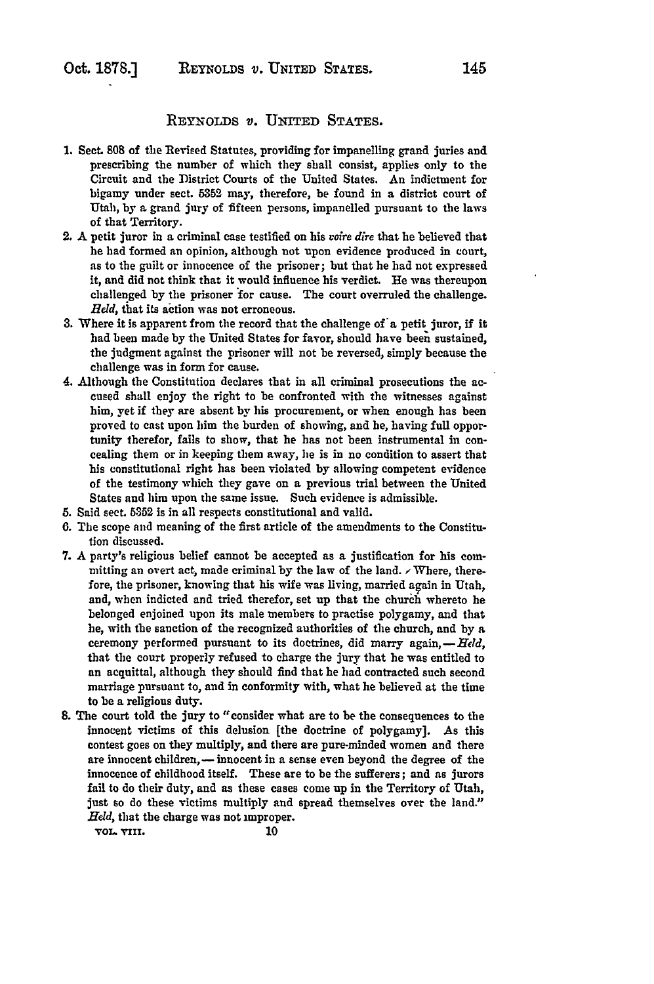## REYNOLDS *V.* UNITED **STATES.**

- **1.** Sect. **808** of the Revised Statutes, providing for impanelling grand juries and prescribing the number of which they shall consist, applies only to the Circuit and the District Courts of the United States. An indictment for bigamy under sect. **5352** may, therefore, be found in a district court of Utah, **by a** grand jury of fifteen persons, impanelled pursuant to the laws of that Territory.
- 2. **A** petit juror in a criminal case testified on his *voire dire* that he believed that **he had** formed an opinion, although not upon evidence produced in court, as to the guilt or innocence of the prisoner; but that he had not expressed it, and did not think that it would influence his verdict. He was thereupon challenged **by** the prisoner for cause. The court overruled the challenge. *Held,* that its **action** was not erroneous.
- **3.** Where it is apparent from the record that the challenge of'a petit juror, if it had been made by the United States for favor, should have been sustained, the judgment against the prisoner will not be reversed, simply because the challenge was in form for cause.
- 4. Although the Constitution declares that in all criminal prosecutions the accused shall enjoy the right to be confronted with the witnesses against him, yet if they are absent by his procurement, or when enough has been proved to cast upon him the burden of showing, and he, having full opportunity therefor, fails to show, that he has not been instrumental in concealing them or in keeping them away, **he** is in no condition to assert that his constitutional right has been violated **by** allowing competent evidence of the testimony which they gave on a previous trial between the United States and him upon the same issue. Such evidence is admissible.
- **5.** Said sect. **5352** is in all respects constitutional and valid.
- **6.** The scope and meaning of the first article of the amendments to the Constitution discussed.
- **7. A** party's religious belief cannot be accepted as a justification for his committing an overt act, made criminal **by** the law of the land. 'Where, therefore, the prisoner, knowing that his wife was living, married again in Utah, and, when indicted and tried therefor, set up that the church whereto he belonged enjoined upon its male members to practise polygamy, and that **he,** with the sanction of the recognized authorities of the church, and **by** a ceremony performed pursuant to its doctrines, did marry again, $-Held$ , that the court properly refused to charge the jury that **he** was entitled to **an** acquittal, although they should find that he had contracted such second marriage pursuant to, and in conformity with, what he believed at the time to be a religious duty.
- **8.** The court told the jury to "consider what are to be the consequences to the innocent victims of this delusion [the doctrine of polygamy]. As this contest goes on they multiply, and there are pure-minded women and there are innocent children, - innocent in a sense even beyond the degree of the innocence of childhood itself. These are to be the sufferers; and as jurors fail to do their duty, and as these cases come up in the Territory of Utah, just so do these victims multiply and spread themselves over the land." *Held,* that the charge was not improper.

**TOL VIII.** 10

145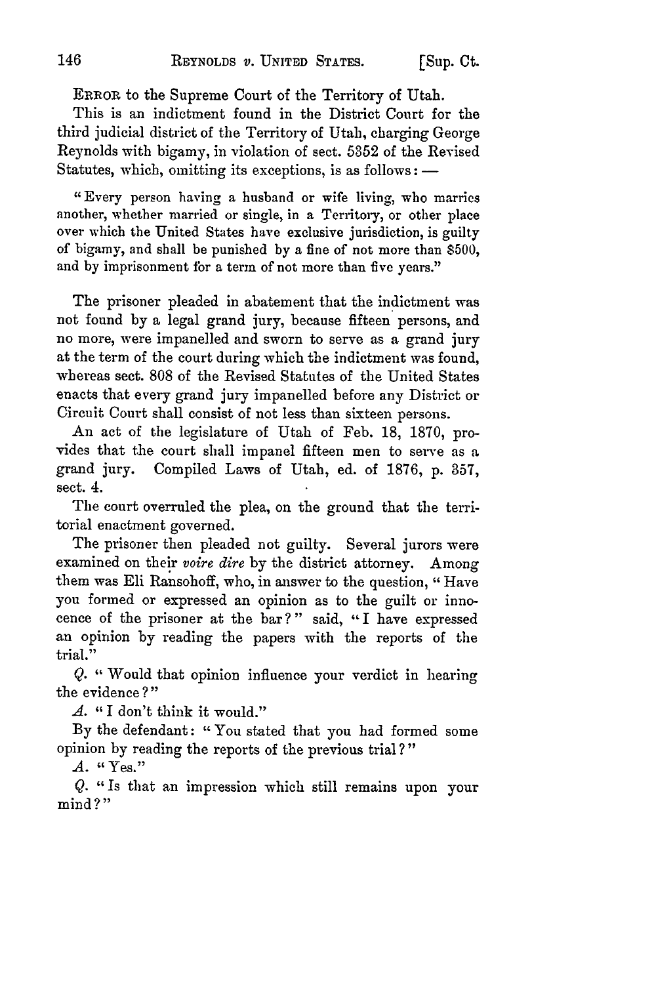ERROR to the Supreme Court of the Territory of Utah.

This is an indictment found in the District Court for the third judicial district of the Territory of Utah, charging George Reynolds with bigamy, in violation of sect. 5352 of the Revised Statutes, which, omitting its exceptions, is as follows: **-**

"Every person having a husband or wife living, who marries another, whether married or single, in a Territory, or other place over which the United States have exclusive jurisdiction, is guilty of bigamy, and shall be punished by a fine of not more than \$500, and by imprisonment for a term of not more than five years."

The prisoner pleaded in abatement that the indictment was not found by a legal grand jury, because fifteen persons, and no more, were impanelled and sworn to serve as a grand jury at the term of the court during which the indictment was found, whereas sect. 808 of the Revised Statutes of the United States enacts that every grand jury impanelled before any District or Circuit Court shall consist of not less than sixteen persons.

An act of the legislature of Utah of Feb. 18, 1870, provides that the court shall impanel fifteen men to serve as a grand jury. Compiled Laws of Utah, ed. of 1876, p. 357, sect. 4.

The court overruled the plea, on the ground that the territorial enactment governed.

The prisoner then pleaded not guilty. Several jurors were examined on their *voire dire* by the district attorney. Among them was Eli Ransohoff, who, in answer to the question, "Have you formed or expressed an opinion as to the guilt or innocence of the prisoner at the bar?" said, "I have expressed an opinion by reading the papers with the reports of the trial."

Q. " Would that opinion influence your verdict in hearing the evidence?"

*A.* "I don't think it would."

By the defendant: "You stated that you had formed some opinion by reading the reports of the previous trial?"

*A.* "Yes."

Q. "Is that an impression which still remains upon your mind?"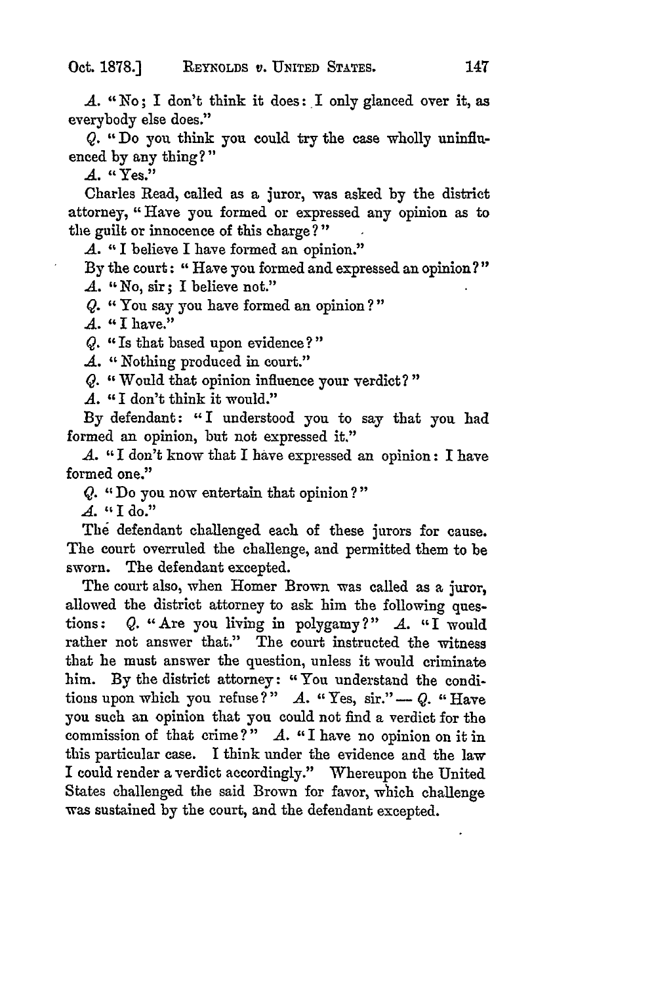*A.* "No; I don't think it does: I only glanced over it, as everybody else does."

**Q.** "Do **you** think **you** could try the case wholly uninfluenced **by** any thing?"

*A.* "Yes."

Charles Read, called as a juror, was asked **by** the district attorney, "Have you formed or expressed any opinion as to the guilt or innocence of this **charge?"**

*A. -* **I** believe I have formed an opinion."

**By** the court: "Have you formed and expressed an opinion?"

*A.* "No, sir; I believe not."

**Q.** "You say you have formed an opinion?"

*A.* "I have."

**Q.** "Is that based upon evidence?"

*A.* "Nothing produced in court."

**Q.** "Would that opinion influence your verdict?"

*A. "I* don't think it would."

**By** defendant: "I understood you to say that you had formed an opinion, but not expressed it."

*A. "I* don't know that **I have** expressed an opinion: I have formed one."

**Q.** *"Do* you now entertain that opinion?"

*A. "I* do."

**The** defendant challenged each of these jurors for cause. The court overruled the challenge, and permitted them to be sworn. The defendant excepted.

The court also, when Homer Brown was called as **a** juror, allowed the district attorney to ask him the following questions: **Q.** "Are you living in polygamy?" **A.** "I would rather not answer that." The court instructed the witness that he must answer the question, unless it would criminate him. **By** the district attorney: "You understand the conditions upon which you refuse?" *A.* "Yes, sir." **- Q.** "Have you such an opinion that you could not **find** a verdict for the commission of that crime?" *A.* **-I** have no opinion on it in this particular case. I think under the evidence and the law I could render a verdict accordingly." Whereupon the United States challenged the said Brown for favor, which challenge was sustained by the court, and the defendant excepted.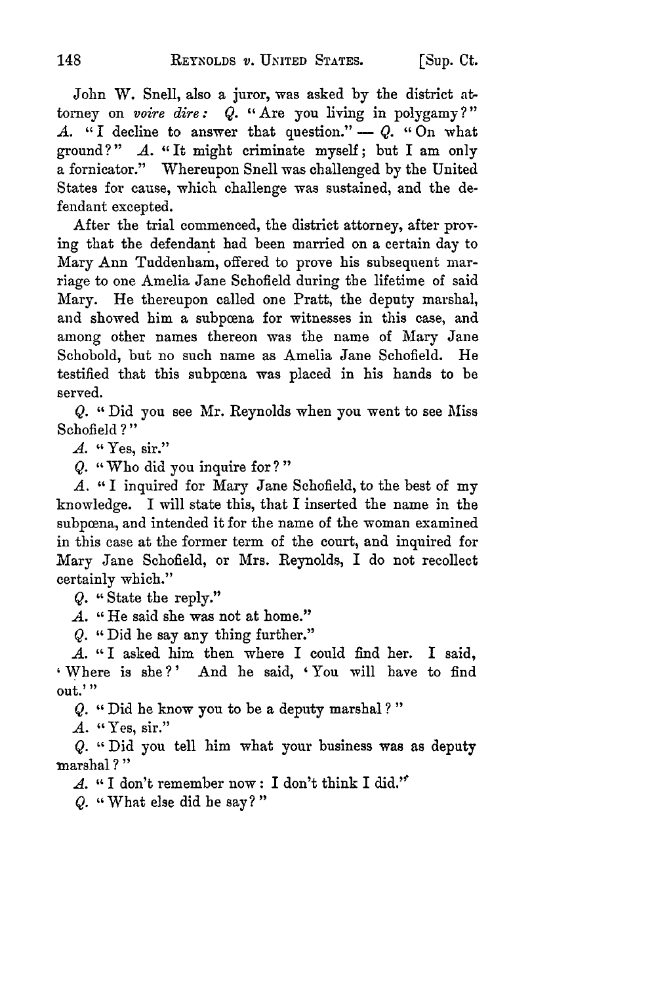John W. Snell, also a juror, was asked by the district attorney on *voire dire:* Q. "Are you living in polygamy?" *A.* "I decline to answer that question." **-** Q. "On what ground?" *A.* "It might criminate myself; but I am only a fornicator." Whereupon Snell was challenged by the United States for cause, which challenge was sustained, and the defendant excepted.

After the trial commenced, the district attorney, after proving that the defendant had been married on a certain day to Mary Ann Tuddenham, offered to prove his subsequent marriage to one Amelia Jane Schofield during the lifetime of said Mary. He thereupon called one Pratt, the deputy marshal, and showed him a subpœna for witnesses in this case, and among other names thereon was the name of Mary Jane Schobold, but no such name as Amelia Jane Schofield. He testified that this subpcena was placed in his hands to be served.

Q. "Did you see Mr. Reynolds when you went to see Miss Schofield ?"

*A.* "Yes, sir."

Q. "Who did you inquire for?"

*A.* "I inquired for Mary Jane Schofield, to the best of my knowledge. I will state this, that I inserted the name in the subpcena, and intended it for the name of the woman examined in this case at the former term of the court, and inquired for Mary Jane Schofield, or Mrs. Reynolds, I do not recollect certainly which."

**Q.** "State the reply."

*A.* "He said she was not at home."

Q. "Did he say any thing further."

*A.* "I asked him then where I could find her. I said, 'Where is she?' And he said, 'You will have to find out.'"

Q. "Did he know you to be a deputy marshal **?"**

*A.* "Yes, sir."

Q. "Did you tell him what your business was as deputy marshal?"

 $A.$  " I don't remember now: I don't think I did."

Q. "What else did he say?"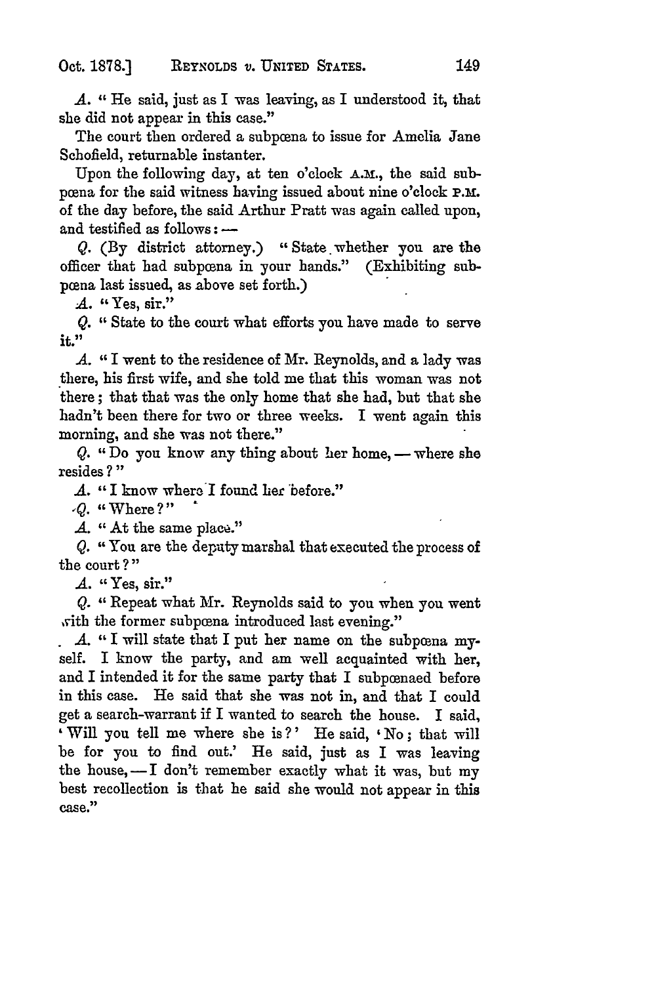*A.* " He said, just as I was leaving, as I understood it, that she did not appear in this case."

The court then ordered a subpœna to issue for Amelia Jane Schofield, returnable instanter.

Upon the following day, at ten o'clock **A.M.,** the said subpcena for the said witness having issued about nine o'clock **P.m.** of the day before, the said Arthur Pratt was again called upon, and testified as follows: **-**

Q. (By district attorney.) "State. whether you are the officer that had subpcena in your hands." (Exhibiting subpcena last issued, as above set forth.)

*A.* "Yes, sir."

**Q.** "State to the court what efforts you have made to serve it."

A. "I went to the residence of Mr. Reynolds, and a lady was there, his first wife, and she told me that this woman was not there; that that was the only home that she had, but that she hadn't been there for two or three weeks. I went again this morning, and she was not there."

 $Q.$  "Do you know any thing about her home, — where she resides ?"

*A.* "I know where I found her before."

**-Q.** "Where?"

A. "At the same place."

Q. "You are the depaty marshal that executed the process of the court?"

*A.* "Yes, sir."

**Q.** "Repeat what Mr. Reynolds said to you when you went with the former subpœna introduced last evening."

*A.* "I will state that I put her name on the subpcena myself. I know the party, and am well acquainted with her, and I intended it for the same party that I subpœnaed before in this case. He said that she was not in, and that I could get a search-warrant **if** I wanted to search the house. I said, ' Will you tell me where she is?' He said, ' No; that will be for you to find out.' He said, just as **I** was leaving the house, $- I$  don't remember exactly what it was, but my best recollection is that he said she would not appear in this case."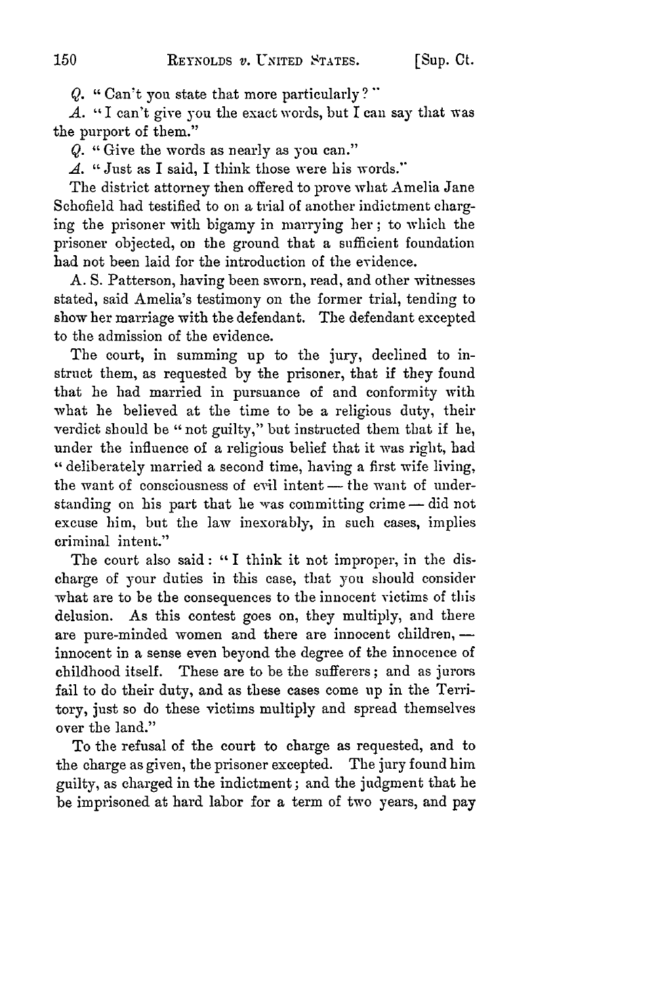Q. "Can't you state that more particularly?"

*A.* "I can't give you the exact words, but I can say that was the purport of them."

Q. "Give the words as nearly as you can."

*A.* "Just as I said, I think those were his words."

The district attorney then offered to prove what Amelia Jane Schofield had testified to on a trial of another indictment charging the prisoner with bigamy in marrying her; to which the prisoner objected, on the ground that a sufficient foundation had not been laid for the introduction of the evidence.

A. S. Patterson, having been sworn, read, and other witnesses stated, said Amelia's testimony on the former trial, tending to show her marriage with the defendant. The defendant excepted to the admission of the evidence.

The court, in summing up to the jury, declined to instruct them, as requested by the prisoner, that if they found that he had married in pursuance of and conformity with what he believed at the time to be a religious duty, their verdict should be "not guilty," but instructed them that if he, under the influence of a religious belief that it was right, had "deliberately married a second time, having a first wife living, the want of consciousness of evil intent - the want of understanding on his part that he was committing crime - did not excuse him, but the law inexorably, in such cases, implies criminal intent."

The court also said: "I think it not improper, in the discharge of your duties in this case, that you should consider what are to be the consequences to the innocent victims of this delusion. As this contest goes on, they multiply, and there are pure-minded women and there are innocent children,  innocent in a sense even beyond the degree of the innocence of childhood itself. These are to be the sufferers; and as jurors fail to do their duty, and as these cases come up in the Territory, just so do these victims multiply and spread themselves over the land."

To the refusal of the court to charge as requested, and to the charge as given, the prisoner excepted. The jury found him guilty, as charged in the indictment; and the judgment that he be imprisoned at hard labor for a term of two years, and pay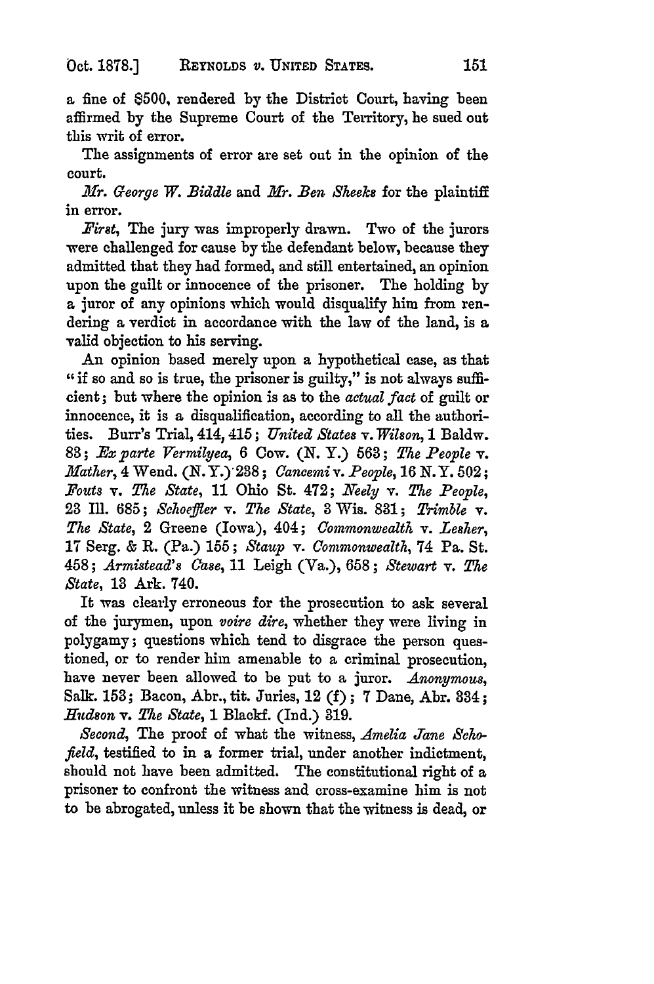**a** fine of \$500, rendered by the District Court, having been affirmed **by** the Supreme Court of the Territory, **he** sued out this writ of error.

The assignments of error **are** set out in the opinion of the court.

*ir. George "W. Biddle* and *Mfr. Ben, Sheeks* for the plaintiff in error.

*First,* The jury was improperly drawn. Two of the jurors were challenged for cause by the defendant below, because they admitted that they had formed, and still entertained, an opinion upon the guilt or innocence of the prisoner. The holding by a juror of any opinions which would disqualify him from rendering **a** verdict in accordance with the law of the land, is a valid objection to his serving.

An opinion based merely upon a hypothetical case, as that "if so and so is true, the prisoner is guilty," is not always sufficient; but where the opinion is as to the *actual fact* of guilt or innocence, it is a disqualification, according to all the authorities. Burr's Trial, 414,415; *United States v. Wilson,* **1** Baldw. 88; *Ex parte Vermilyea*, 6 Cow. (N. Y.) 568; *The People v. Mather,* 4 Wend. (N. Y.) 288; *Cancemi v. People,* **16** N.Y. 502; *Fouts v. The State,* **11** Ohio St. 472; *Neely v. The People,* **28** Ill. 685; *Schoeffler v. The State, 8* Wis. **831;** *Trimble* v. *The State,* 2 Greene (Iowa), 404; *Commonwealth v. Leaher,* **17** Serg. & R. (Pa.) 155; *Staup v. Commonwealth,* 74 Pa. St. 458; *Armistead's Case,* 11 Leigh (Va.), 658; *Stewart v. The State,* **13** Ark. 740.

It was clearly erroneous for the prosecution to ask several of the jurymen, upon *voire dire,* whether they were living in polygamy; questions which tend to disgrace the person questioned, or to render him amenable to a criminal prosecution, have never been allowed to be put to a juror. *Anonymous,* Salk. **158;** Bacon, Abr., tit. Juries, 12 (f) ; **7** Dane, Abr. **834;** *.idson* v. *The State,* **1** Blaekf. (Ind.) 819.

*Second,* The proof of what the witness, *Amelia 7ane Schofield,* testified to in a former trial, under another indictment, should not have been admitted. The constitutional right of a prisoner to confront the witness and cross-examine him is not to be abrogated, unless it be shown that the witness is dead, or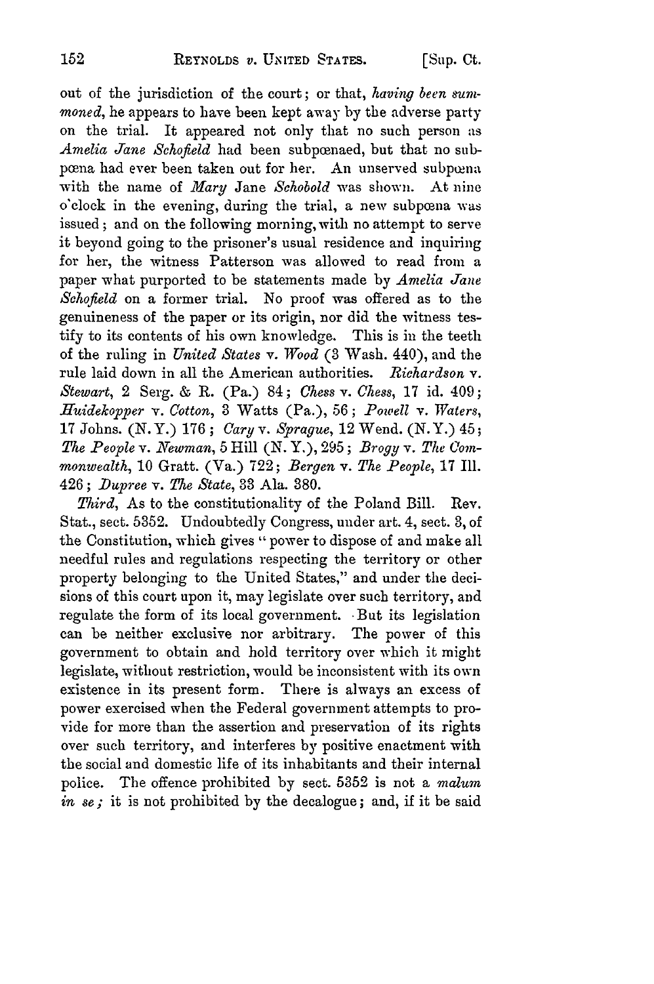out of the jurisdiction of the court; or that, *having been summoned,* he appears to have been kept away by the adverse party on the trial. It appeared not only that no such person as *Amelia Jane Schofield* had been subpcenaed, but that no subpcena had ever been taken out for her. An unserved subpœna with the name of *Mary* Jane *Schobold* was shown. At nine o'clock in the evening, during the trial, a new subpoena was issued; and on the following morning, with no attempt to serve it beyond going to the prisoner's usual residence and inquiring for her, the witness Patterson was allowed to read from a paper what purported to be statements made by *Amelia Jane Schofield* on a former trial. No proof was offered as to the genuineness of the paper or its origin, nor did the witness testify to its contents of his own knowledge. This is in the teeth of the ruling in *United States v. Wood* (3 Wash. 440), and the rule laid down in all the American authorities. *Richardson v. Stewart,* 2 Serg. & **R.** (Pa.) 84; *Chess v. Chess,* 17 id. 409; *ifuidekopper v. Cotton,* 3 Watts (Pa.), 56; *Powell v. Waters,* 17 Johns. (N. Y.) 176 ; *Cary v. Sprague,* 12 Wend. (N. Y.) 45; *The People v. Newman,* 5 Hill (N. Y.), 295; *Brogy v. The Commonwealth,* 10 Gratt. (Va.) 722; *Bergen v. The People,* 17 Ill. 426; *D Tpree v. The State,* 33 Ala. 380.

*Third,* As to the constitutionality of the Poland Bill. Rev. Stat., sect. 5352. Undoubtedly Congress, under art. 4, sect. 3, of the Constitution, which gives "power to dispose of and make all needful rules and regulations respecting the territory or other property belonging to the United States," and under the decisions of this court upon it, may legislate over such territory, and regulate the form of its local government. -But its legislation can be neither exclusive nor arbitrary. The power of this government to obtain and hold territory over which it might legislate, without restriction, would be inconsistent with its own existence in its present form. There is always an excess of power exercised when the Federal government attempts to provide for more than the assertion and preservation of its rights over such territory, and interferes by positive enactment with the social and domestic life of its inhabitants and their internal police. The offence prohibited by sect. 5352 is not a *malum in se;* it is not prohibited by the decalogue; and, if it be said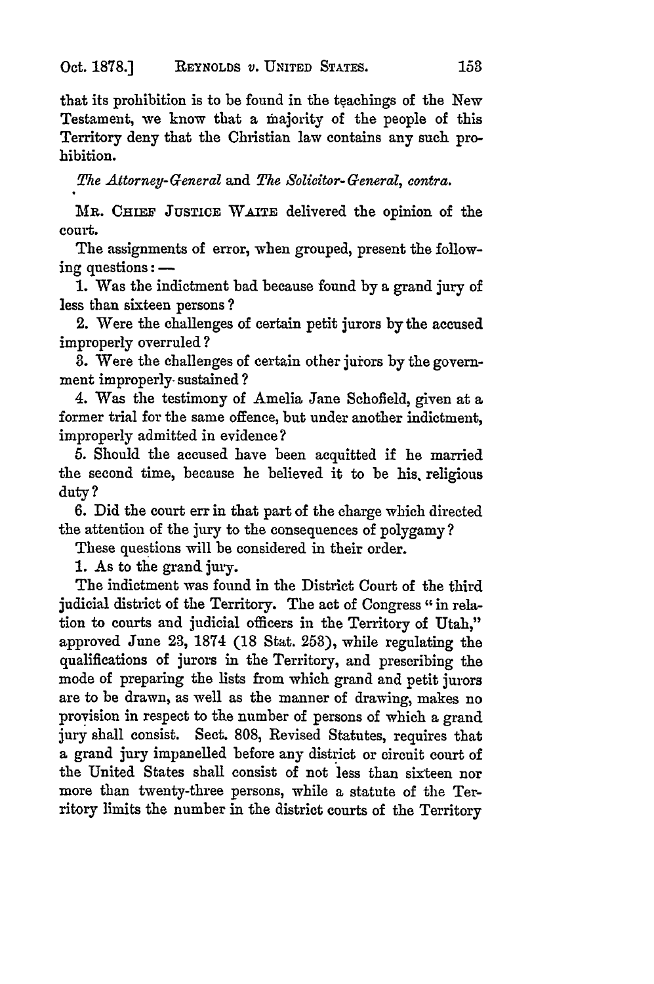that its prohibition is to be found in the teachings of the New Testament, we know that a majority of the people of this Territory deny that the Christian law contains any such prohibition.

*The Attorney- General and The Solicitor- General, contra.*

MR1. **CHIEF JUSTICE WAITE** delivered the opinion of the court.

The assignments of error, when grouped, present the following questions: $-$ 

**1.** Was the indictment bad because found by a grand jury of less than sixteen persons **?**

2. Were the challenges of certain petit jurors by the accused improperly overruled?

**3.** Were the challenges of certain other juiors **by** the government improperly- sustained?

4. Was the testimony of Amelia Jane Schofield, given at a former trial for the same offence, but under another indictment, improperly admitted in evidence?

**5.** Should the accused have been acquitted if he married the second time, because he believed it to be his. religious duty?

**6.** Did the court err in that part of the charge which directed the attention of the jury to the consequences of polygamy?

These questions will be considered in their order.

1. As to the grand jury.

The indictment was found in the District Court of the third judicial district of the Territory. The act of Congress *"in* relation to courts and judicial officers in the Territory of Utah," approved June **23,** 1874 (18 Stat. **253),** while regulating the qualifications of jurors in the Territory, and prescribing the mode of preparing the lists from which grand and petit jurors are to be drawn, as well as the manner of drawing, makes no provision in respect to the number of persons of which a grand jury shall consist. Sect. 808, Revised Statutes, requires that a grand jury impanelled before any district or circuit court of the United States shall consist of not less than sixteen nor more than twenty-three persons, while a statute of the Territory limits the number in the district courts of the Territory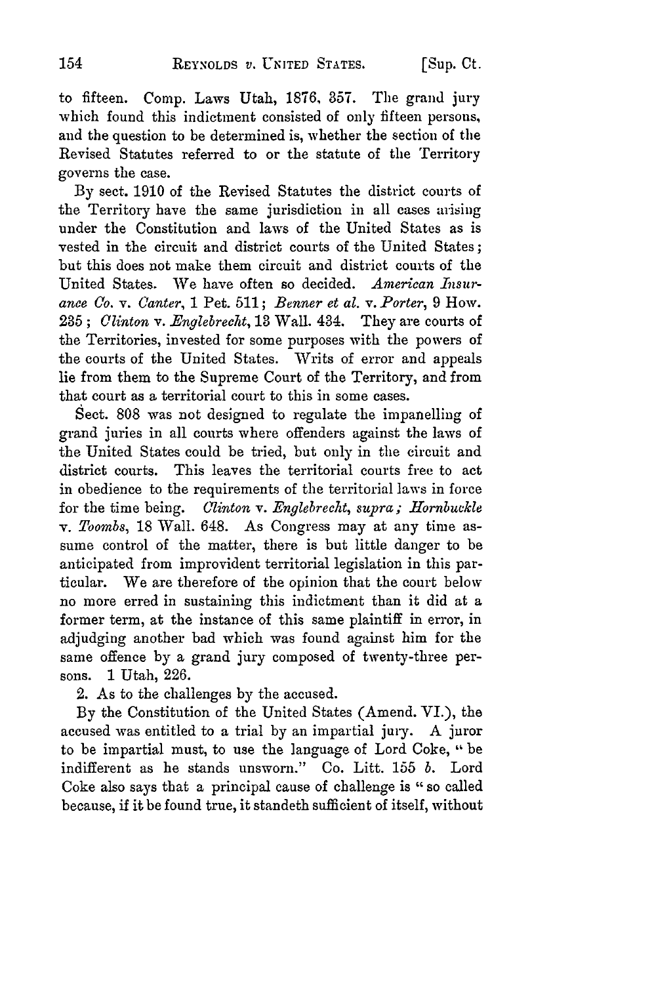to fifteen. Comp. Laws Utah, 1876, 857. The grand jury which found this indictment consisted of only fifteen persons, and the question to be determined is, whether the section of the Revised Statutes referred to or the statute of the Territory governs the case.

**By** sect. 1910 of the Revised Statutes the district courts of the Territory have the same jurisdiction in all cases **arising** under the Constitution and laws of the United States as is vested in the circuit and district courts of the United States; but this does not make them circuit and district courts of the United States. We have often so decided. *American Insurance* Co. *v. Canter,* 1 Pet. 511; *Benner et al. v. Porter,* 9 How. 235; *Clinton v. Englebrecht,* 18 Wall. 434. They are courts of the Territories, invested for some purposes with the powers of the courts of the United States. Writs of error and appeals lie from them to the Supreme Court of the Territory, and from that court as a territorial court to this in some cases.

Sect. 808 was not designed to regulate the impanelling of grand juries in all courts where offenders against the laws of the United States could be tried, but only in the circuit and district courts. This leaves the territorial courts free to act in obedience to the requirements of the territorial laws in force for the time being. *Clinton* v. *Englebrecht, supra; Hornbuckle* v. *Toombs*, 18 Wall. 648. As Congress may at any time assume control of the matter, there is but little danger to be anticipated from improvident territorial legislation in this particular. We are therefore of the opinion that the court below no more erred in sustaining this indictment than it did at a former term, at the instance of this same plaintiff in error, in adjudging another bad which was found against him for the same offence by a grand jury composed of twenty-three persons. 1 Utah, 226.

2. As to the challenges by the accused.

By the Constitution of the United States (Amend. VI.), the accused was entitled to a trial by an impartial jury. A juror to be impartial must, to use the language of Lord Coke, "be indifferent as he stands unsworn." Co. Litt. 155 **b.** Lord Coke also says that a principal cause of challenge is "so called because, if it be found true, it standeth sufficient of itself, without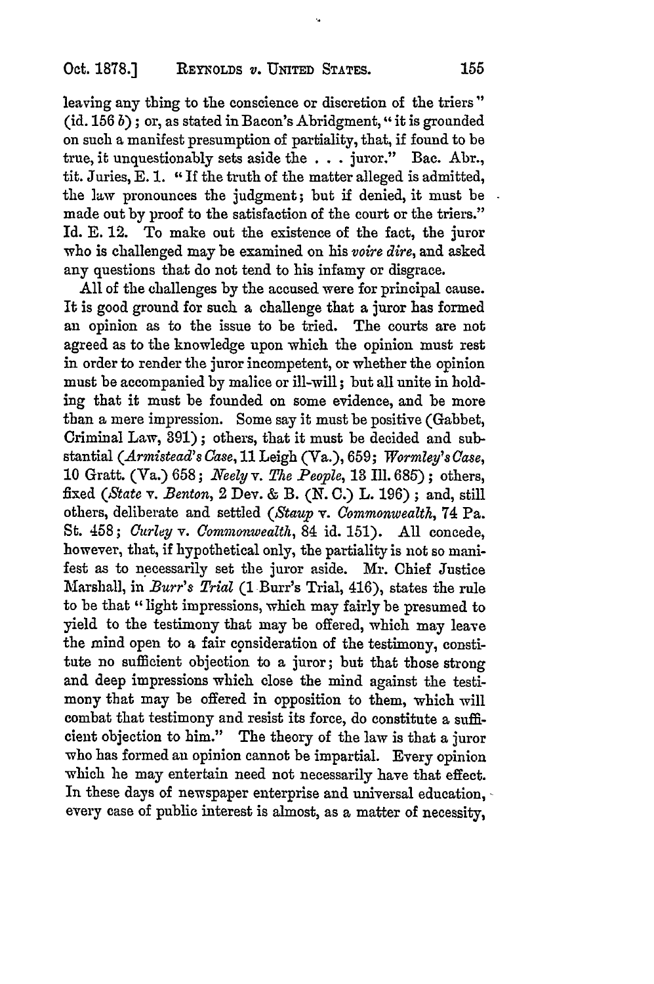leaving any thing to the conscience or discretion of the triers **"** (id. **156** *b)* ; or, as stated in Bacon's Abridgment, *"it* is grounded on such a manifest presumption of partiality, that, if found to be true, it unquestionably sets aside the **. . .** juror." Bac. Abr., tit. Juries, **E. 1.** "If the truth of the matter alleged is admitted, the law pronounces the judgment; but if denied, it must be made out **by** proof to the satisfaction of the court or the triers." **Id. E.** 12. To make out the existence of the fact, the juror who is challenged may be examined on his *voire dire,* and asked any questions that do not tend to his infamy or disgrace.

**All** of the challenges **by** the accused were for principal cause. It is good ground for such a challenge that a juror has formed an opinion as to the issue to be tried. The courts are not agreed as to the knowledge upon which the opinion must rest in order to render the juror incompetent, or whether the opinion must be accompanied **by** malice or ill-will; but all unite in holding that it must be founded on some evidence, and be more than a mere impression. Some say it must be positive (Gabbet, Criminal Law, **391);** others, that it must be decided and substantial *(Armistead's Case,* **11** Leigh (Va.), 659; *Wormley's Case,* **10** Gratt. (Va.) 658; *Neely v. The -People, 13* Ill. 685) ; others, fixed *(&ate* v. *Benton,* 2 Dev. & B. **(N. C.)** L. 196) ; and, still others, deliberate and settled *(Staup* v. *Commonwealth,* 74 Pa. St. 458; *Curley v. Commonwealth,* 84 id. 151). All concede, however, that, if hypothetical only, the partiality is not so manifest as to necessarily set the juror aside. Mr. Chief Justice Marshall, in *Burr's Trial* (1 Burr's Trial, 416), states the rule to be that "light impressions, which may fairly be presumed to yield to the testimony that may be offered, which may leave the mind open to a fair consideration of the testimony, constitute no sufficient objection to a juror; but that those strong and deep impressions which close the mind against the testimony that may be offered in opposition to them, which will combat that testimony and resist its force, do constitute a sufficient objection to him." The theory of the law is that a juror who has formed an opinion cannot be impartial. Every opinion which he may entertain need not necessarily have that effect. In these days of newspaper enterprise and universal education,  every case of public interest is almost, as a matter of necessity,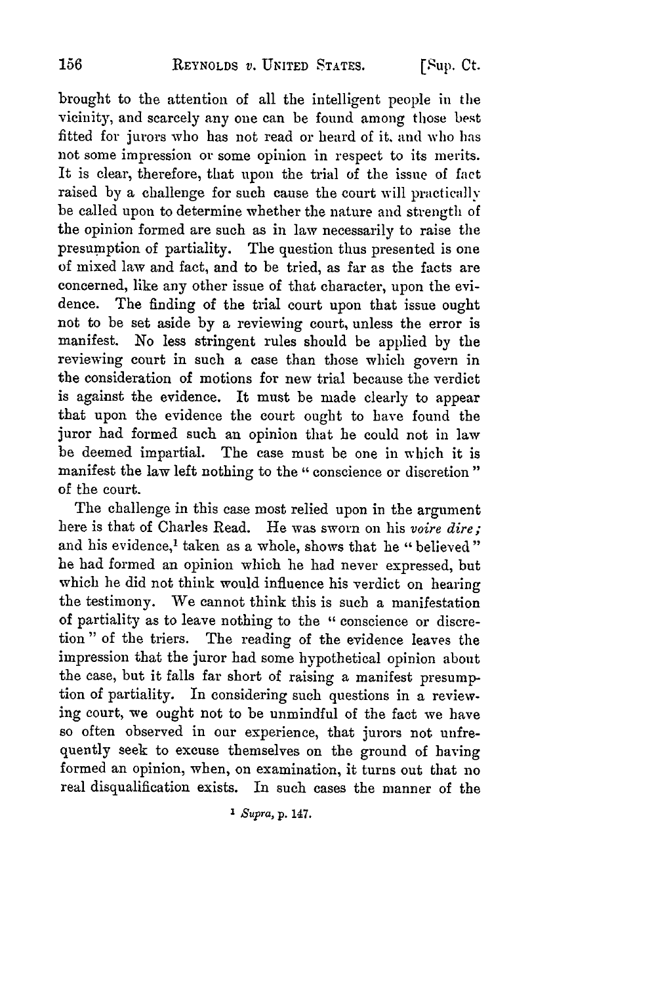brought to the attention of all the intelligent people in the vicinity, and scarcely any one can be found among those best fitted for jurors who has not read or heard of *it,* and who has not some impression or some opinion in respect to its merits. It is clear, therefore, that upon the trial of the issue of fact raised by a challenge for such cause the court will practically be called upon to determine whether the nature and strength of the opinion formed are such as in law necessarily to raise the presumption of partiality. The question thus presented is one **of** mixed law and fact, and to be tried, as far as the facts are concerned, like any other issue of that character, upon the evidence. The finding of the trial court upon that issue ought not to be set aside by a reviewing court, unless the error is manifest. No less stringent rules should be applied by the reviewing court in such a case than those which govern in the consideration of motions for new trial because the verdict is against the evidence. It must be made clearly to appear that upon the evidence the court ought to have found the juror had formed such an opinion that he could not in law be deemed impartial. The case must be one in which it is manifest the law left nothing to the "conscience or discretion" of the court.

The challenge in this case most relied upon in the argument here is that of Charles Read. He was sworn on his *voire dire;* and his evidence,<sup>1</sup> taken as a whole, shows that he "believed" he had formed an opinion which he had never expressed, but which he did not think would influence his verdict on hearing the testimony. We cannot think this is such a manifestation of partiality as to leave nothing to the " conscience or discretion " of the triers. The reading of the evidence leaves the impression that the juror had some hypothetical opinion about the case, but it falls far short of raising a manifest presumption of partiality. In considering such questions in a reviewing court, we ought not to be unmindful of the fact we have so often observed in our experience, that jurors not unfrequently seek to excuse themselves on the ground of having formed an opinion, when, on examination, it turns out that no real disqualification exists. In such cases the manner of the

*I* **Supra, p.** 147.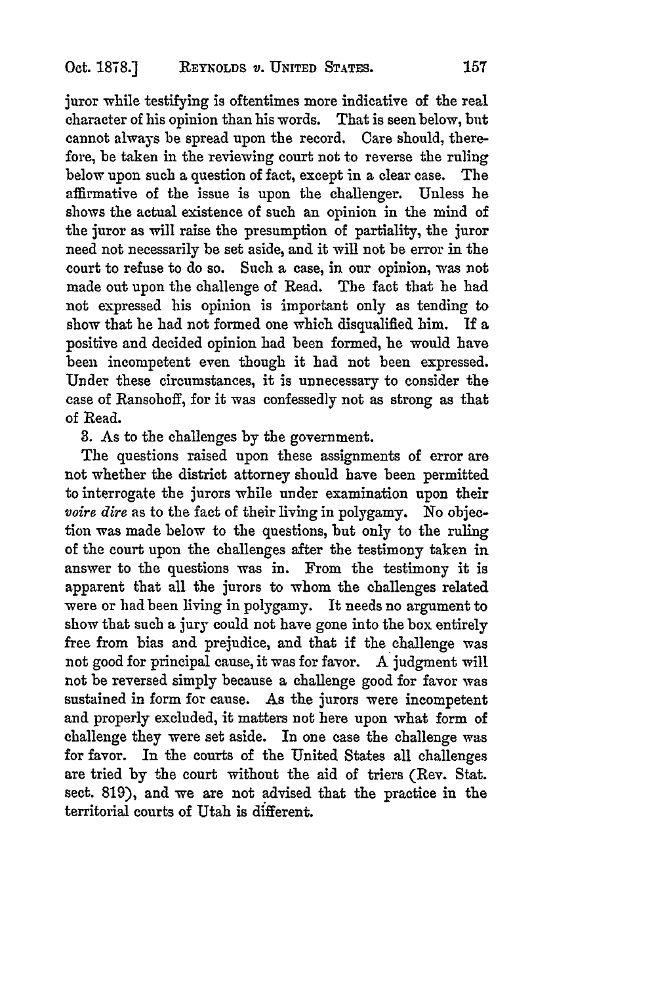juror while testifying is oftentimes more indicative of the real character of his opinion than his words. That is seen below, but cannot always be spread upon the record. Care should, therefore, be taken in the reviewing court not to reverse the ruling below upon such a question of fact, except in a clear case. The affirmative of the issue is upon the challenger. Unless he shows the actual existence of such an opinion in the mind of the juror as will raise the presumption of partiality, the juror need not necessarily be set aside, and it will not be error in the court to refuse to do so. Such a case, in our opinion, was not made out upon the challenge of Read. The fact that he had not expressed his opinion is important only as tending to show that he had not formed one which disqualified him. **If** a positive and decided opinion had been formed, he would have been incompetent even though it had not been expressed. Under these circumstances, it is unnecessary to consider the case of Ransohoff, for it was confessedly not as strong as that of Read.

8. As to the challenges by the government.

The questions raised upon these assignments of error are not whether the district attorney should have been permitted to interrogate the jurors while under examination upon their voire dire as to the fact of their living in polygamy. No objection was made below to the questions, but only to the ruling of the court upon the challenges after the testimony taken in answer to the questions was in. From the testimony it is apparent that all the jurors to whom the challenges related were or had been living in polygamy. It needs no argument to show that such a jury could not have gone into the box entirely free from bias and prejudice, and that if the challenge was not good for principal cause, it was for favor. A judgment will not be reversed simply because a challenge good for favor was sustained in form for cause. As the jurors were incompetent and properly excluded, it matters not here upon what form of challenge they were set aside. In one case the challenge was for favor. In the courts of the United States all challenges are tried by the court without the aid of triers (Rev. Stat. sect. **819),** and we are not advised that the practice in the territorial courts of Utah is different.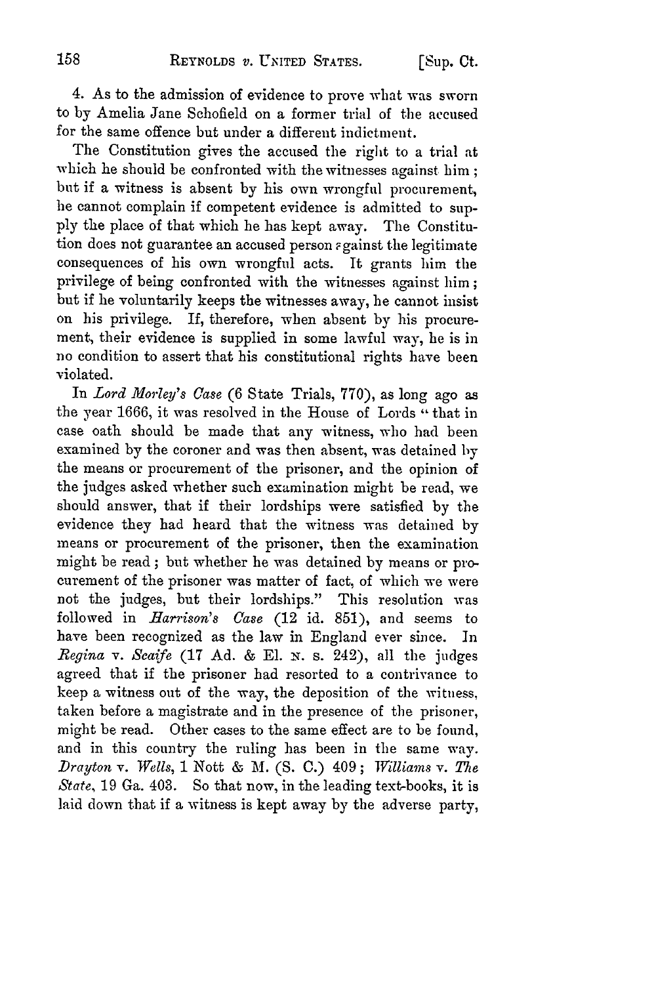4. As to the admission of evidence to prove what was sworn to by Amelia Jane Schofield on a former trial of the accused for the same offence but under a different indictment.

The Constitution gives the accused the right to a trial at which he should be confronted with the witnesses against him **;** but if a witness is absent by his own wrongful procurement, he cannot complain if competent evidence is admitted to supply the place of that which he has kept away. The Constitution does not guarantee an accused person against the legitimate consequences of his own wrongful acts. It grants him the privilege of being confronted with the witnesses against him; but if he voluntarily keeps the witnesses away, he cannot insist on his privilege. If, therefore, when absent by his procurement, their evidence is supplied in some lawful way, he is in no condition to assert that his constitutional rights have been violated.

In *Lord Morley's Case* (6 State Trials, 770), as long ago as the year 1666, it was resolved in the House of Lords "that in case oath should be made that any witness, who had been examined by the coroner and was then absent, was detained by the means or procurement of the prisoner, and the opinion of the judges asked whether such examination might be read, we should answer, that if their lordships were satisfied by the evidence they had heard that the witness was detained by means or procurement of the prisoner, then the examination might be read; but whether he was detained by means or procurement of the prisoner was matter of fact, of which we were not the judges, but their lordships." This resolution was followed in *Rarrison's Case* (12 id. 851), and seems to have been recognized as the law in England ever since. In *Regina v. Scaife* (17 Ad. & El. **N.** s. 242), all the judges agreed that if the prisoner had resorted to a contrivance to keep a witness out of the way, the deposition of the witness, taken before a magistrate and in the presence of the prisoner, might be read. Other cases to the same effect are to be found, and in this country the ruling has been in the same way. *Drayton v. Wells, I* Nott & **Mf.** (S. C.) 409; *Williams* v. *The State,* 19 Ga. 403. So that now, in the leading text-books, it is laid down that if a witness is kept away by the adverse party,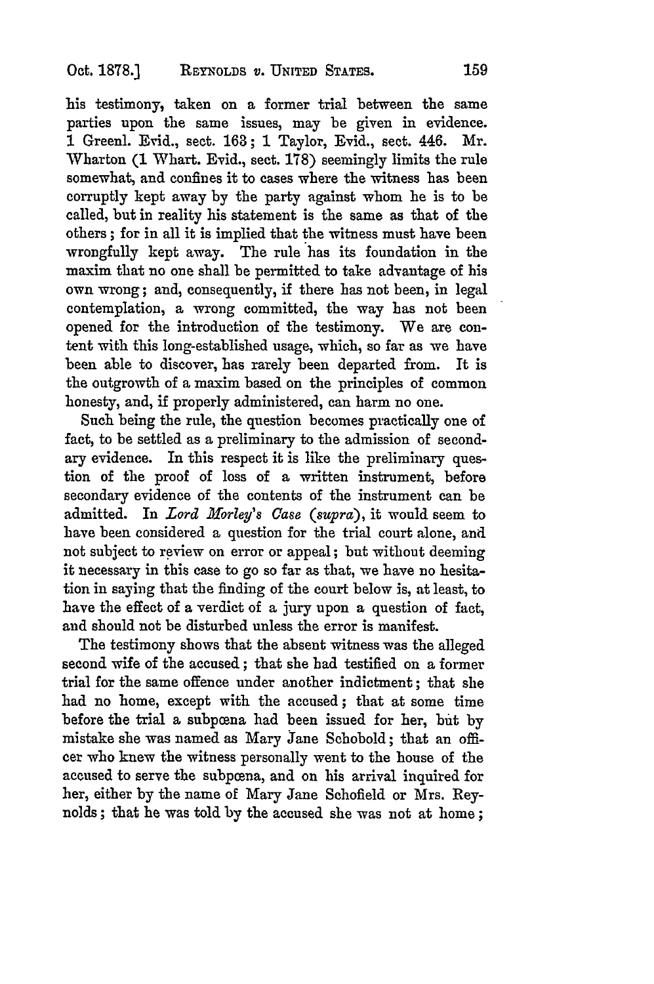his testimony, taken on a former trial between the same parties upon the same issues, may be given in evidence. **1** Greenl. Evid., sect. **163; 1** Taylor, Evid., sect. 446. Mr. Wharton **(1** Whart. Evid., sect. **178)** seemingly limits the rule somewhat, and confines it to cases where the witness has been corruptly kept away **by** the party against whom he is to be called, but in reality his statement is the same as that of the others; for in all it is implied that the witness must have been wrongfully kept away. The rule has its foundation in the maxim that no one shall be permitted to take advantage of his own wrong; and, consequently, if there has not been, in legal contemplation, a wrong committed, the way has not been opened for the introduction of the testimony. We are content with this long-established usage, which, so far as we have been able to discover, has rarely been departed from. It is the outgrowth of a maxim based on the principles of common honesty, and, if properly administered, can harm no one.

Such being the rule, the question becomes practically one of fact, to be settled as a preliminary to the admission of secondary evidence. In this respect it is like the preliminary question of the proof of loss of a written instrument, before secondary evidence of the contents of the instrument can be admitted. In *Lord Morley's Case (supra),* it would seem to have been considered a question for the trial court alone, and not subject to review on error or appeal; but without deeming it necessary in this case to go so far as that, we have no hesitation in saying that the finding of the court below is, at least, to have the effect of a verdict of a jury upon a question of fact, and should not be disturbed unless the error is manifest.

The testimony shows that the absent witness was the alleged second wife of the accused; that she bad testified on a former trial for the same offence under another indictment; that she had no home, except with the accused; that at some time before the trial a subpcena had been issued for her, but by mistake she was named as Mary Jane Schobold; that an officer who knew the witness personally went to the house of the accused to serve the subpœna, and on his arrival inquired for her, either by the name of Mary Jane Schofield or Mrs. Reynolds; that he was told by the accused she was not at home;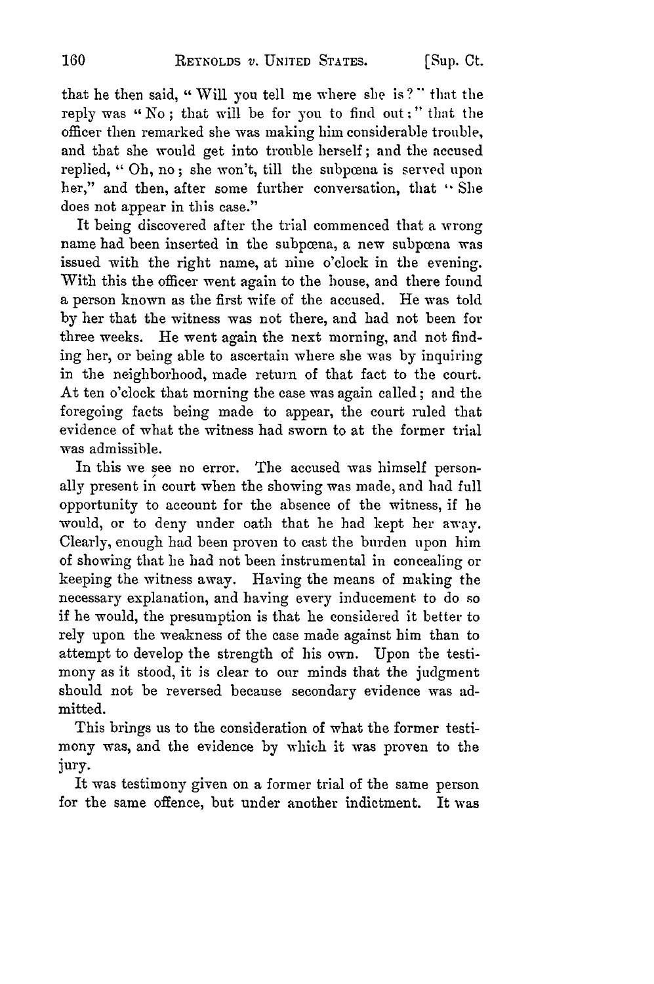that he then said, " Will you tell me where she is?" that the reply was "No; that will be for you to find out;" that the officer then remarked she was making him considerable trouble, and that she would get into trouble herself; and the accused replied, "Oh, no; she won't, till the subpœna is served upon her," and then, after some further conversation, that "She does not appear in this case."

It being discovered after the trial commenced that a wrong name had been inserted in the subpœna, a new subpœna was issued with the right name, at nine o'clock in the evening. With this the officer went again to the house, and there found a person known as the first wife of the accused. He was told by her that the witness was not there, and had not been for three weeks. He went again the next morning, and not finding her, or being able to ascertain where she was by inquiring in the neighborhood, made return of that fact to the court. At ten o'clock that morning the case was again called; and the foregoing facts being made to appear, the court ruled that evidence of what the witness had sworn to at the former trial was admissible.

In this we see no error. The accused was himself personally present in court when the showing was made, and had full opportunity to account for the absence of the witness, if he would, or to deny under oath that he had kept her away. Clearly, enough had been proven to cast the burden upon him of showing that he had not been instrumental in concealing or keeping the witness away. Having the means of making the necessary explanation, and having every inducement to do so if he would, the presumption is that he considered it better to rely upon the weakness of the case made against him than to attempt to develop the strength of his own. Upon the testimony as it stood, it is clear to our minds that the judgment should not be reversed because secondary evidence was admitted.

This brings us to the consideration of what the former testimony was, and the evidence by which it was proven to the jury.

It was testimony given on a former trial of the same person for the same offence, but under another indictment. It was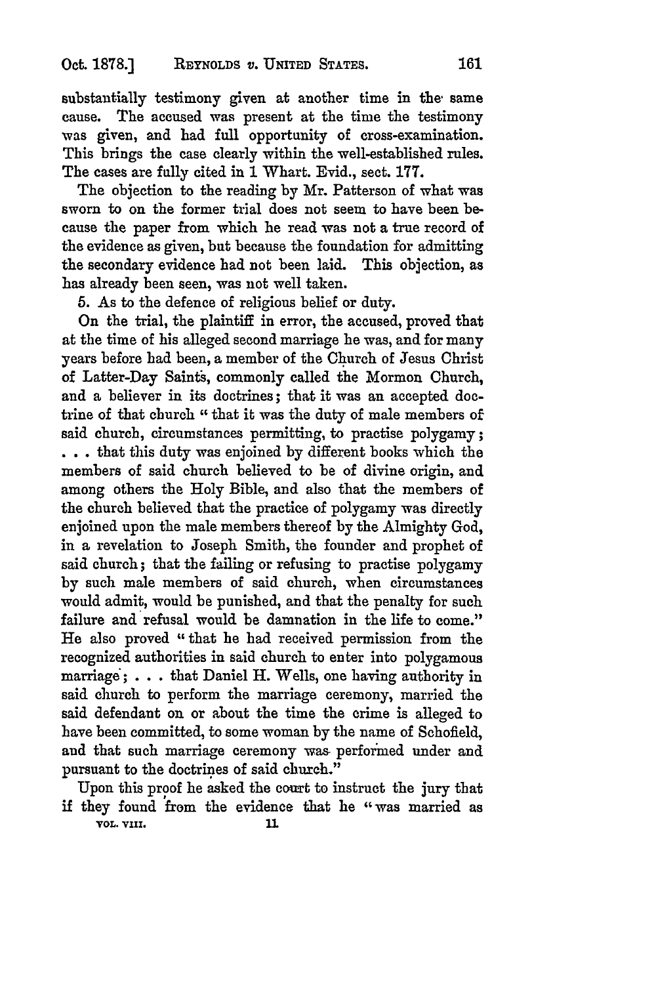substantially testimony given at another time in the same cause. The accused was present at the time the testimony was given, and had full opportunity of cross-examination. This brings the case clearly within the well-established rules. The cases are fully cited in 1 Whart. Evid., sect. 177.

The objection to the reading by Mr. Patterson of what was sworn to on the former trial does not seem to have been because the paper from which he read was not a true record of the evidence as given, but because the foundation for admitting the secondary evidence had not been laid. This objection, as has already been seen, was not well taken.

**5.** As to the defence of religious belief or duty.

On the trial, the plaintiff in error, the accused, proved that at the time of his alleged second marriage he was, and for many years before had been, a member of the Church of Jesus Christ of Latter-Day Saints, commonly called the Mormon Church, and a believer in its doctrines; that it was an accepted doctrine of that church "that it was the duty of male members of said church, circumstances permitting, to practise polygamy; **. ..** that this duty was enjoined **by** different books which the members of said church believed to be of divine origin, and among others the Holy Bible, and also that the members of the church believed that the practice of polygamy was directly enjoined upon the male members thereof **by** the Almighty God, in a revelation to Joseph Smith, the founder and prophet of said church; that the failing or refusing to practise polygamy **by** such male members of said church, when circumstances would admit, would be punished, and that the penalty for such failure and refusal would be damnation in the life to come." He also proved "that he had received permission from the recognized authorities in said church to enter into polygamous marriage; . . . that Daniel H. Wells, one having authority in said church to perform the marriage ceremony, married the said defendant on or about the time the crime is alleged to have been committed, to some woman by the name of Schofield, and that such marriage ceremony was performed under and pursuant to the doctrines of said church."

Upon this proof he asked the court to instruct the jury that if they found from the evidence that he "was married as **VOL.** V111. **11**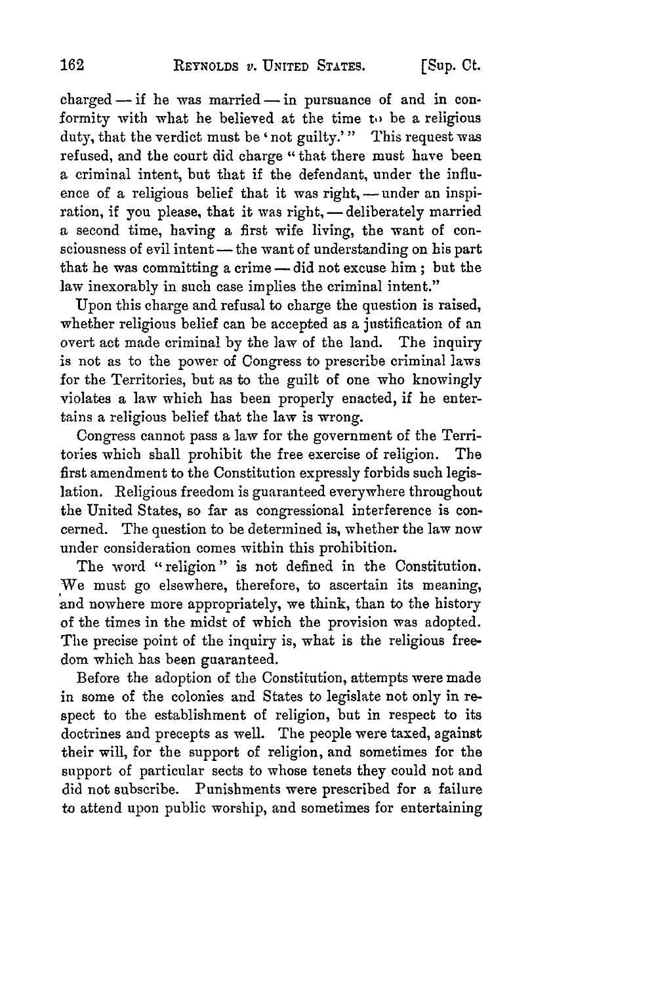charged - if he was married - in pursuance of and in conformity with what he believed at the time to be a religious duty, that the verdict must be 'not guilty.'" This request was refused, and the court did charge "that there must have been a criminal intent, but that if the defendant, under the influence of a religious belief that it was right, -under an inspiration, if you please, that it was right, - deliberately married a second time, having a first wife living, the want of consciousness of evil intent - the want of understanding on his part that he was committing a crime - did not excuse him; but the law inexorably in such case implies the criminal intent."

Upon this charge and refusal to charge the question is raised, whether religious belief can be accepted as a justification of an overt act made criminal by the law of the land. The inquiry is not as to the power of Congress to prescribe criminal laws for the Territories, but as to the guilt of one who knowingly violates a law which has been properly enacted, if he entertains a religious belief that the law is wrong.

Congress cannot pass a law for the government of the Territories which shall prohibit the free exercise of religion. The first amendment to the Constitution expressly forbids such legislation. Religious freedom is guaranteed everywhere throughout the United States, so far as congressional interference is concerned. The question to be determined is, whether the law now under consideration comes within this prohibition.

The word "religion" is not defined in the Constitution. We must go elsewhere, therefore, to ascertain its meaning, and nowhere more appropriately, we think, than to the history of the times in the midst of which the provision was adopted. The precise point of the inquiry is, what is the religious freedom which has been guaranteed.

Before the adoption of the Constitution, attempts were made in some of the colonies and States to legislate not only in respect to the establishment of religion, but in respect to its doctrines and precepts as well. The people were taxed, against their will, for the support of religion, and sometimes for the support of particular sects to whose tenets they could not and did not subscribe. Punishments were prescribed for a failure to attend upon public worship, and sometimes for entertaining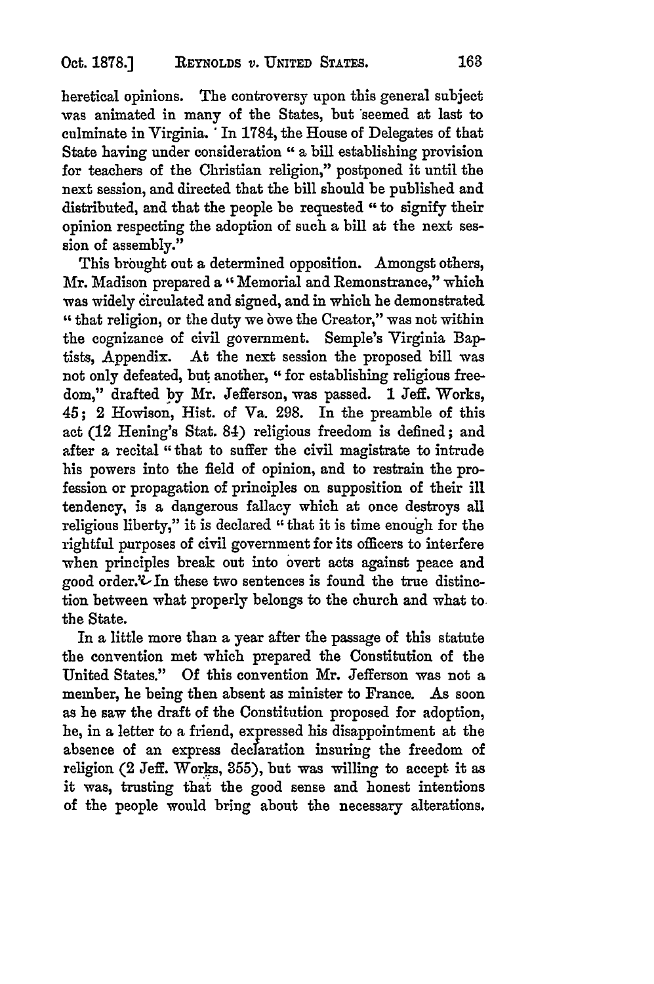heretical opinions. The controversy upon this general subject was animated in many of the States, but seemed at last to culminate in Virginia. 'In **1784,** the House of Delegates of that State having under consideration *"a* bill establishing provision for teachers of the Christian religion," postponed it until the next session, and directed that the bill should be published and distributed, and that the people be requested "to signify their opinion respecting the adoption of such a bill at the next session of assembly."

This brought out a determined opposition. Amongst others, Mr. Madison prepared a "Memorial and Remonstrance," which was widely circulated and signed, and in which he demonstrated **"1** that religion, or the duty we bwe the Creator," was not within the cognizance of civil government. Semple's Virginia Baptists, Appendix. At the next session the proposed bill was not only defeated, but another, "for establishing religious freedom," drafted by Mr. Jefferson, was passed. 1 Jeff. Works, 45; 2 Howison, Hist. of Va. 298. In the preamble of this act (12 Hening's Stat. 84) religious freedom is defined; and after a recital "that to suffer the civil magistrate to intrude his powers into the field of opinion, and to restrain the profession or propagation of principles on supposition of their ill tendency, is a dangerous fallacy which at once destroys all religious liberty," it is declared "that it is time enough for the rightful purposes of civil government for its officers to interfere when principles break out into overt acts against peace and good order. $\mathcal V$  In these two sentences is found the true distinction between what properly belongs to the church and what to the State.

In a little more than a year after the passage of this statute the convention met which prepared the Constitution of the United States." Of this convention Mr. Jefferson was not a member, he being then absent as minister to France. As soon as he saw the draft of the Constitution proposed for adoption, he, in a letter to a friend, expressed his disappointment at the absence of an express declaration insuring the freedom of religion  $(2 \text{ Jeff. Works}, 355)$ , but was willing to accept it as it was, trusting that the good sense and honest intentions of the people would bring about the necessary alterations.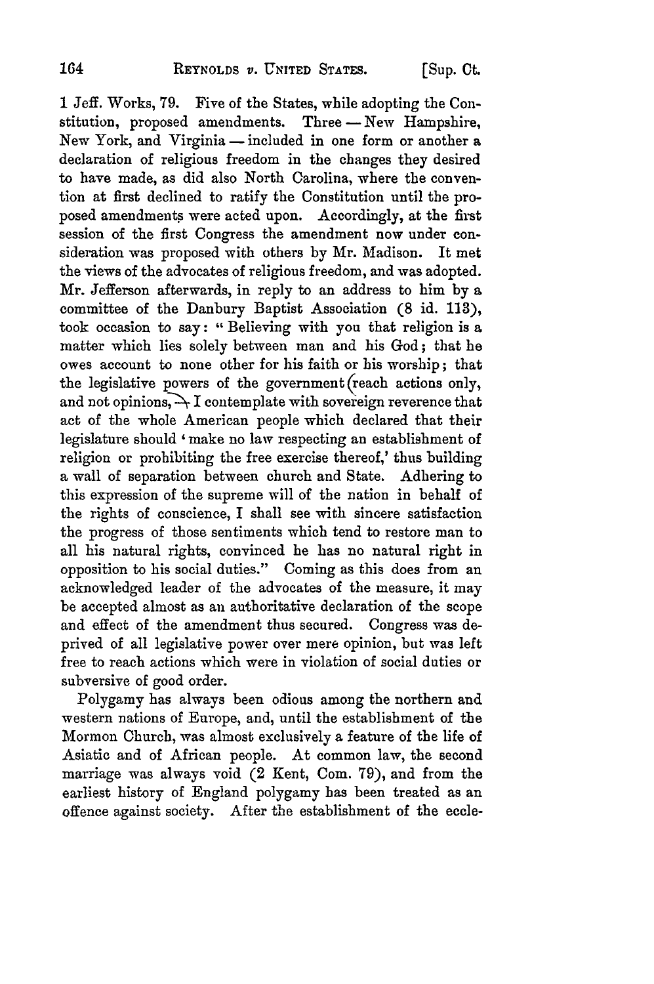1 Jeff. Works, 79. Five of the States, while adopting the Constitution, proposed amendments. Three -New Hampshire, New York, and Virginia - included in one form or another a declaration of religious freedom in the changes they desired to have made, as did also North Carolina, where the convention at first declined to ratify the Constitution until the proposed amendments were acted upon. Accordingly, at the first session of the first Congress the amendment now under consideration was proposed with others by Mr. Madison. It met the views of the advocates of religious freedom, and was adopted. Mr. Jefferson afterwards, in reply to an address to him by a committee of the Danbury Baptist Association (8 id. **113),** took occasion to say: " Believing with you that religion is a matter which lies solely between man and his God; that he owes account to none other for his faith or his worship; that the legislative powers of the government (reach actions only, and not opinions,  $\rightarrow$  I contemplate with sovereign reverence that act of the whole American people which declared that their legislature should ' make no law respecting an establishment of religion or prohibiting the free exercise thereof,' thus building a wall of separation between church and State. Adhering to this expression of the supreme will of the nation in behalf of the rights of conscience, I shall see with sincere satisfaction the progress of those sentiments which tend to restore man to all his natural rights, convinced he has no natural right in opposition to his social duties." Coming as this does from an acknowledged leader of the advocates of the measure, it may be accepted almost as an authoritative declaration of the scope and effect of the amendment thus secured. Congress was deprived of all legislative power over mere opinion, but was left free to reach actions which were in violation of social duties or subversive of good order.

Polygamy has always been odious among the northern and western nations of Europe, and, until the establishment of the Mormon Church, was almost exclusively a feature of the life of Asiatic and of African people. At common law, the second marriage was always void (2 Kent, Com. 79), and from the earliest history of England polygamy has been treated as an offence against society. After the establishment of the eccle-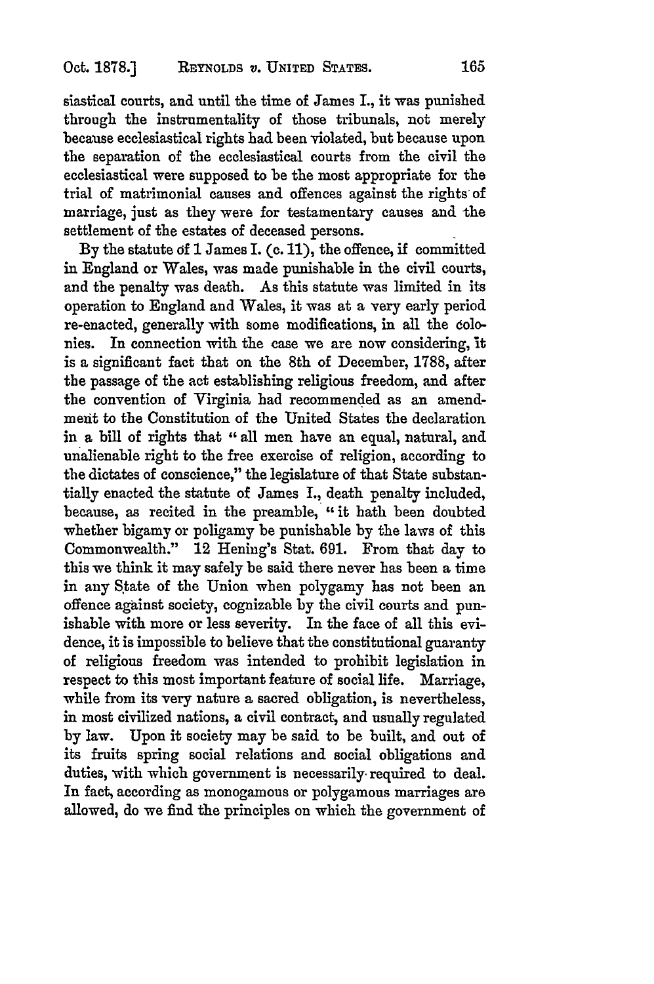siastical courts, and until the time of James I., it was punished through the instrumentality of those tribunals, not merely because ecclesiastical rights had been violated, but because upon the separation of the ecclesiastical courts from the civil the ecclesiastical were supposed to be the most appropriate for the trial of matrimonial causes and offences against the rights of marriage, just as they were for testamentary causes and the settlement of the estates of deceased persons.

**By** the statute **of 1** James I. **(c. 11),** the offence, if committed in England or Wales, was made punishable in the civil courts, and the penalty was death. As this statute was limited in its operation to England and Wales, it was at a very early period re-enacted, generally with some modifications, in all the colonies. In connection with the case we are now considering, it is a significant fact that on the 8th of December, **1788,** after the passage of the act establishing religious freedom, and after the convention of Virginia had recommended as an amend**merit** to the Constitution of the United States the declaration in a bill of rights that "all men have an equal, natural, and unalienable right to the free exercise of religion, according to the dictates of conscience," the legislature of that State substantially enacted the statute of James **I.,** death penalty included, because, as recited in the preamble, "it hath been doubted whether bigamy or poligamy be punishable **by** the laws of this Commonwealth." 12 Hening's Stat. **691.** From that **day** to this we think it may safely be said there never has been a time in any State of the Union when polygamy has not been an offence against society, cognizable **by** the civil courts and punishable with more or less severity. In the face of all this evidence, it is impossible to believe that the constitutional guaranty of religious freedom was intended to prohibit legislation in respect to this most important feature of social life. Marriage, while from its very nature a sacred obligation, is nevertheless, in most civilized nations, a civil contract, and usually regulated **by** law. Upon it society may be said to be built, and out of its fruits spring social relations and social obligations and duties, with which government is necessarily required to deal. In fact, according as monogamous or polygamous marriages are allowed, do we find the principles on which the government of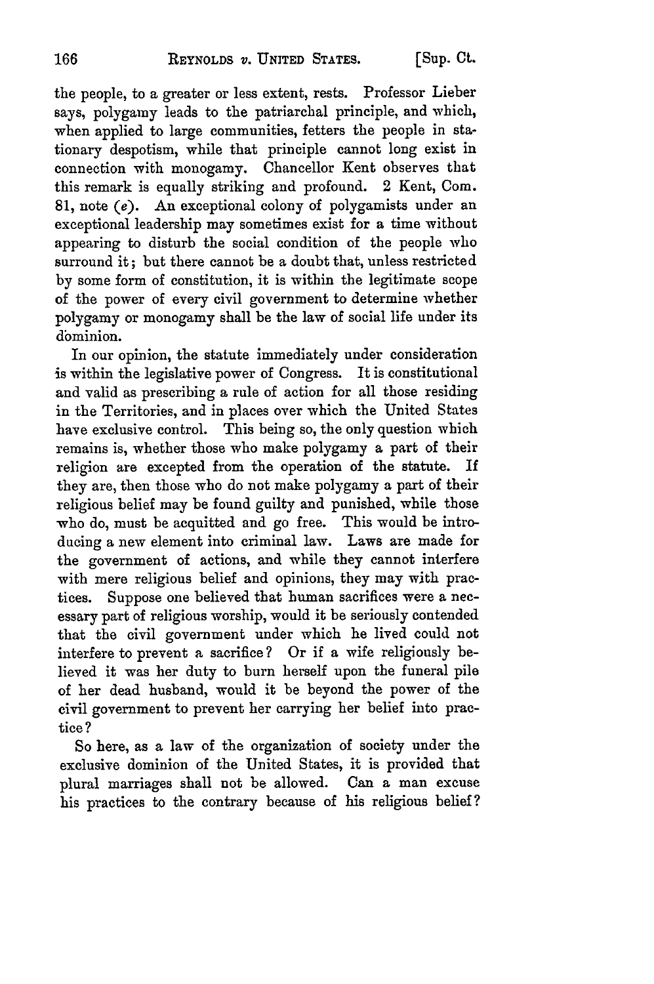the people, to a greater or less extent, rests. Professor Lieber says, polygamy leads to the patriarchal principle, and which, when applied to large communities, fetters the people in stationary despotism, while that principle cannot long exist in connection with monogamy. Chancellor Kent observes that this remark is equally striking and profound. 2 Kent, Com. **81,** note (e). An exceptional colony of polygamists under an exceptional leadership may sometimes exist for a time without appearing to disturb the social condition of the people who surround it; but there cannot be a doubt that, unless restricted **by** some form of constitution, it is within the legitimate scope of the power of every civil government to determine whether polygamy or monogamy shall be the law of social life under its dominion.

In our opinion, the statute immediately under consideration is within the legislative power of Congress. It is constitutional and valid as prescribing a rule of action for all those residing in the Territories, and in places over which the United States have exclusive control. This being so, the only question which remains is, whether those who make polygamy a part of their religion are excepted from the operation of the statute. If they are, then those who do not make polygamy a part of their religious belief may be found guilty and punished, while those who do, must be acquitted and go free. This would be introducing a new element into criminal law. Laws are made for the government of actions, and while they cannot interfere with mere religious belief and opinions, they may with practices. Suppose one believed that human sacrifices were a necessary part of religious worship, would it be seriously contended that the civil government under which he lived could not interfere to prevent a sacrifice? Or if a wife religiously believed it was her duty to burn herself upon the funeral pile of her dead husband, would it be beyond the power of the civil government to prevent her carrying her belief into practice **?**

So here, as a law of the organization of society under the exclusive dominion of the United States, it is provided that plural marriages shall not be allowed. Can a man excuse his practices to the contrary because of his religious belief?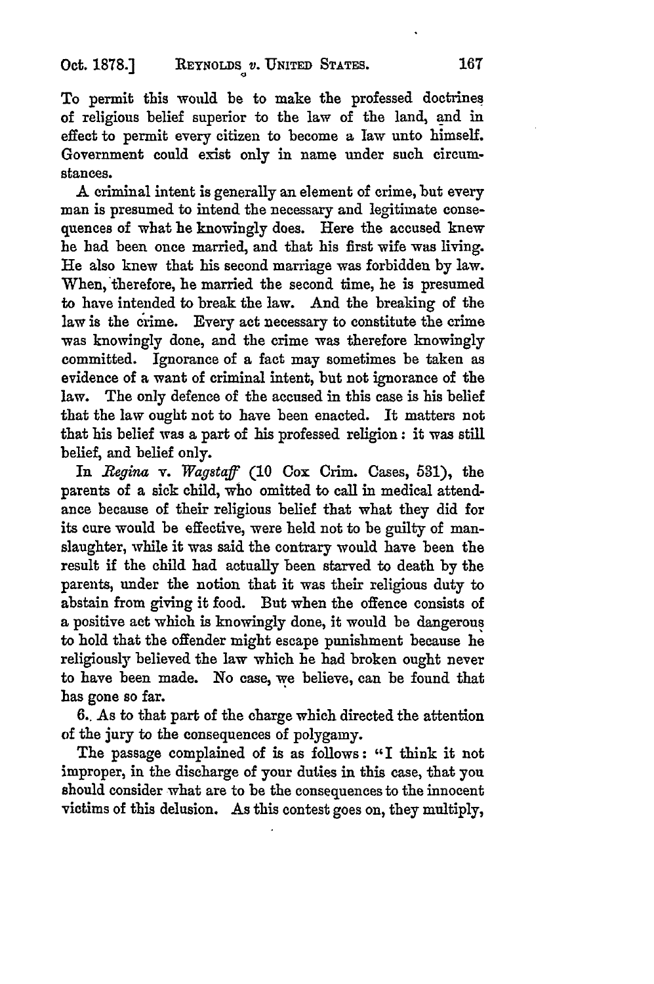To permit this would be to make the professed doctrines of religious belief superior to the law of the land, and in effect to permit every citizen to become a law unto himself. Government could exist only in name under such circumstances.

A criminal intent is generally an element of crime, but every man is presumed to intend the necessary and legitimate consequences of what he knowingly does. Here the accused knew he had been once married, and that his first wife was living. **He** also knew that his second marriage was forbidden **by** law. When, therefore, he married the second time, he is presumed to have intended to break the law. And the breaking of the law is the crime. Every act necessary to constitute the crime was knowingly done, and the crime was therefore knowingly committed. Ignorance of a fact may sometimes be taken as evidence of a want of criminal intent, but not ignorance of the law. The only defence of the accused in this case is his belief that the law ought not to have been enacted. It matters not that his belief was a part of his professed religion: it was still belief, and belief only.

In *Regina* v. *Wagstaff* (10 Cox Crim. Cases, 531), the parents of a sick child, who omitted to call in medical attendance because of their religious belief that what they did for its cure would be effective, were held not to be guilty of manslaughter, while it was said the contrary would have been the result if the child had actually been starved to death **by** the parents, under the notion that it was their religious duty to abstain from giving it food. But when the offence consists of a positive act which is knowingly done, it would be dangerous to hold that the offender might escape punishment because **he** religiously believed the law which he had broken ought never to have been made. No case, we believe, can be found that has gone so far.

**6.,** As to that part of the charge which directed the attention of the jury to the consequences of polygamy.

The passage complained of is as follows: "I think it not improper, in the discharge of your duties in this case, that you should consider what are to be the consequences to the innocent victims of this delusion. As this contest goes on, they multiply,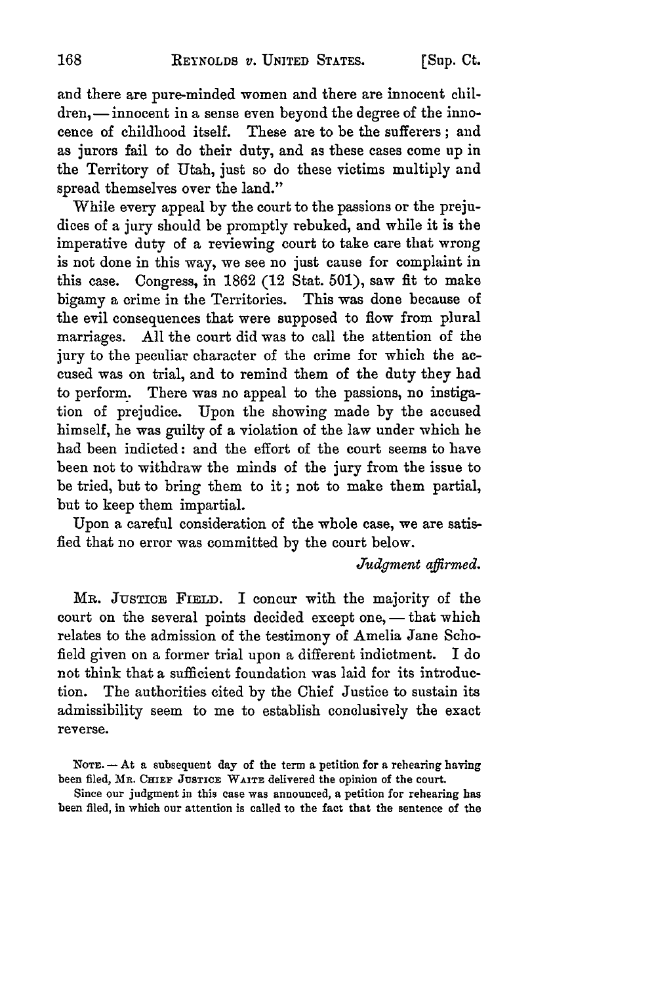and there are pure-minded women and there are innocent children, - innocent in a sense even beyond the degree of the innocence of childhood itself. These are to be the sufferers; and as jurors fail to do their duty, and as these cases come up in the Territory of Utah, just so do these victims multiply and spread themselves over the land."

While every appeal by the court to the passions or the prejudices of a jury should be promptly rebuked, and while it is the imperative duty of a reviewing court to take care that wrong is not done in this way, we see no just cause for complaint in this case. Congress, in 1862 (12 Stat. 501), saw fit to make bigamy a crime in the Territories. This was done because of the evil consequences that were supposed to flow from plural marriages. All the court did was to call the attention of the jury to the peculiar character of the crime for which the accused was on trial, and to remind them of the duty they had to perform. There was no appeal to the passions, no instigation of prejudice. Upon the showing made **by** the accused himself, he was guilty of a violation of the law under which he had been indicted: and the effort of the court seems to have been not to withdraw the minds of the jury from the issue to be tried, but to bring them to it; not to make them partial, but to keep them impartial.

Upon a careful consideration of the whole case, we are satisfied that no error was committed by the court below.

*Judgment affirmed.*

MR. JUSTICE FIED. I concur with the majority of the court on the several points decided except one, - that which relates to the admission of the testimony of Amelia Jane **Scho**field given on a former trial upon a different indictment. I do not think that a sufficient foundation was laid for its introduction. The authorities cited **by** the Chief Justice to sustain its admissibility seem to me to establish conclusively the exact reverse.

**NoTE. -** At a subsequent day of the term a petition for a rehearing having been filed, MR. CHIEF JUSTICE WAITE delivered the opinion of the court.

Since our judgment in this case was announced, a petition for rehearing has been filed, in which our attention is called to the fact that the sentence of the